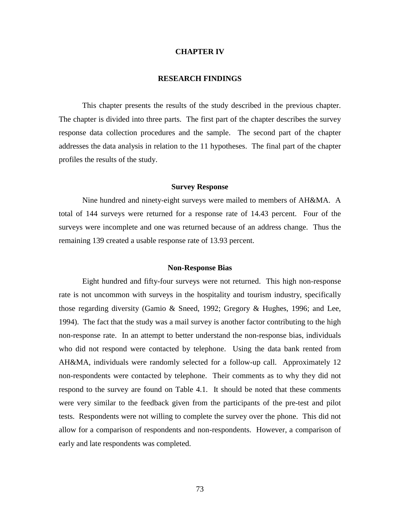### **CHAPTER IV**

# **RESEARCH FINDINGS**

This chapter presents the results of the study described in the previous chapter. The chapter is divided into three parts. The first part of the chapter describes the survey response data collection procedures and the sample. The second part of the chapter addresses the data analysis in relation to the 11 hypotheses. The final part of the chapter profiles the results of the study.

### **Survey Response**

Nine hundred and ninety-eight surveys were mailed to members of AH&MA. A total of 144 surveys were returned for a response rate of 14.43 percent. Four of the surveys were incomplete and one was returned because of an address change. Thus the remaining 139 created a usable response rate of 13.93 percent.

### **Non-Response Bias**

Eight hundred and fifty-four surveys were not returned. This high non-response rate is not uncommon with surveys in the hospitality and tourism industry, specifically those regarding diversity (Gamio & Sneed, 1992; Gregory & Hughes, 1996; and Lee, 1994). The fact that the study was a mail survey is another factor contributing to the high non-response rate. In an attempt to better understand the non-response bias, individuals who did not respond were contacted by telephone. Using the data bank rented from AH&MA, individuals were randomly selected for a follow-up call. Approximately 12 non-respondents were contacted by telephone. Their comments as to why they did not respond to the survey are found on Table 4.1. It should be noted that these comments were very similar to the feedback given from the participants of the pre-test and pilot tests. Respondents were not willing to complete the survey over the phone. This did not allow for a comparison of respondents and non-respondents. However, a comparison of early and late respondents was completed.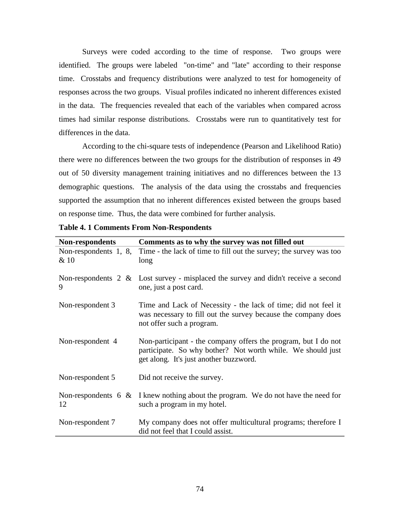Surveys were coded according to the time of response. Two groups were identified. The groups were labeled "on-time" and "late" according to their response time. Crosstabs and frequency distributions were analyzed to test for homogeneity of responses across the two groups. Visual profiles indicated no inherent differences existed in the data. The frequencies revealed that each of the variables when compared across times had similar response distributions. Crosstabs were run to quantitatively test for differences in the data.

According to the chi-square tests of independence (Pearson and Likelihood Ratio) there were no differences between the two groups for the distribution of responses in 49 out of 50 diversity management training initiatives and no differences between the 13 demographic questions. The analysis of the data using the crosstabs and frequencies supported the assumption that no inherent differences existed between the groups based on response time. Thus, the data were combined for further analysis.

| Non-respondents               | Comments as to why the survey was not filled out                                                                                                                        |
|-------------------------------|-------------------------------------------------------------------------------------------------------------------------------------------------------------------------|
| Non-respondents 1, 8,<br>& 10 | Time - the lack of time to fill out the survey; the survey was too<br>long                                                                                              |
| 9                             | Non-respondents $2 \&$ Lost survey - misplaced the survey and didn't receive a second<br>one, just a post card.                                                         |
| Non-respondent 3              | Time and Lack of Necessity - the lack of time; did not feel it<br>was necessary to fill out the survey because the company does<br>not offer such a program.            |
| Non-respondent 4              | Non-participant - the company offers the program, but I do not<br>participate. So why bother? Not worth while. We should just<br>get along. It's just another buzzword. |
| Non-respondent 5              | Did not receive the survey.                                                                                                                                             |
| Non-respondents 6 $\&$<br>12  | I knew nothing about the program. We do not have the need for<br>such a program in my hotel.                                                                            |
| Non-respondent 7              | My company does not offer multicultural programs; therefore I<br>did not feel that I could assist.                                                                      |

**Table 4. 1 Comments From Non-Respondents**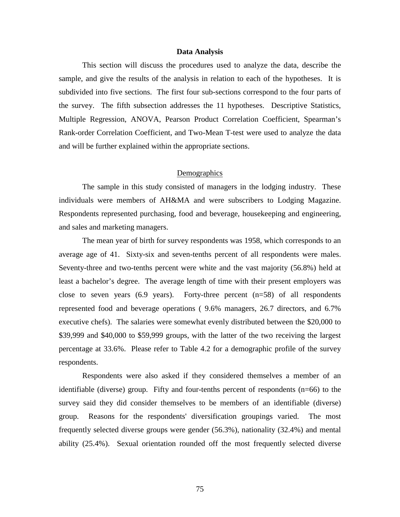# **Data Analysis**

This section will discuss the procedures used to analyze the data, describe the sample, and give the results of the analysis in relation to each of the hypotheses. It is subdivided into five sections. The first four sub-sections correspond to the four parts of the survey. The fifth subsection addresses the 11 hypotheses. Descriptive Statistics, Multiple Regression, ANOVA, Pearson Product Correlation Coefficient, Spearman's Rank-order Correlation Coefficient, and Two-Mean T-test were used to analyze the data and will be further explained within the appropriate sections.

# **Demographics**

The sample in this study consisted of managers in the lodging industry. These individuals were members of AH&MA and were subscribers to Lodging Magazine. Respondents represented purchasing, food and beverage, housekeeping and engineering, and sales and marketing managers.

The mean year of birth for survey respondents was 1958, which corresponds to an average age of 41. Sixty-six and seven-tenths percent of all respondents were males. Seventy-three and two-tenths percent were white and the vast majority (56.8%) held at least a bachelor's degree. The average length of time with their present employers was close to seven years  $(6.9 \text{ years})$ . Forty-three percent  $(n=58)$  of all respondents represented food and beverage operations ( 9.6% managers, 26.7 directors, and 6.7% executive chefs). The salaries were somewhat evenly distributed between the \$20,000 to \$39,999 and \$40,000 to \$59,999 groups, with the latter of the two receiving the largest percentage at 33.6%. Please refer to Table 4.2 for a demographic profile of the survey respondents.

Respondents were also asked if they considered themselves a member of an identifiable (diverse) group. Fifty and four-tenths percent of respondents (n=66) to the survey said they did consider themselves to be members of an identifiable (diverse) group. Reasons for the respondents' diversification groupings varied. The most frequently selected diverse groups were gender (56.3%), nationality (32.4%) and mental ability (25.4%). Sexual orientation rounded off the most frequently selected diverse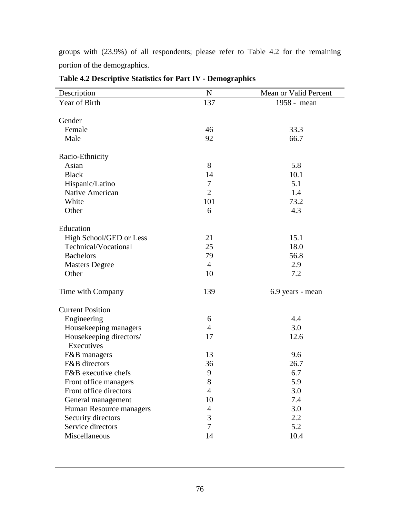groups with (23.9%) of all respondents; please refer to Table 4.2 for the remaining portion of the demographics.

| Description             | ${\bf N}$      | Mean or Valid Percent |
|-------------------------|----------------|-----------------------|
| Year of Birth           | 137            | 1958 - mean           |
|                         |                |                       |
| Gender                  |                |                       |
| Female                  | 46             | 33.3                  |
| Male                    | 92             | 66.7                  |
| Racio-Ethnicity         |                |                       |
| Asian                   | 8              | 5.8                   |
| <b>Black</b>            | 14             | 10.1                  |
| Hispanic/Latino         | $\overline{7}$ | 5.1                   |
| Native American         | $\overline{2}$ | 1.4                   |
| White                   | 101            | 73.2                  |
| Other                   | 6              | 4.3                   |
| Education               |                |                       |
| High School/GED or Less | 21             | 15.1                  |
| Technical/Vocational    | 25             | 18.0                  |
| <b>Bachelors</b>        | 79             | 56.8                  |
| <b>Masters Degree</b>   | $\overline{4}$ | 2.9                   |
| Other                   | 10             | 7.2                   |
|                         |                |                       |
| Time with Company       | 139            | 6.9 years - mean      |
| <b>Current Position</b> |                |                       |
| Engineering             | 6              | 4.4                   |
| Housekeeping managers   | $\overline{4}$ | 3.0                   |
| Housekeeping directors/ | 17             | 12.6                  |
| Executives              |                |                       |
| F&B managers            | 13             | 9.6                   |
| F&B directors           | 36             | 26.7                  |
| F&B executive chefs     | 9              | 6.7                   |
| Front office managers   | 8              | 5.9                   |
| Front office directors  | $\overline{4}$ | 3.0                   |
| General management      | 10             | 7.4                   |
| Human Resource managers | $\overline{4}$ | 3.0                   |
| Security directors      | 3              | 2.2                   |
| Service directors       | $\overline{7}$ | 5.2                   |
| Miscellaneous           | 14             | 10.4                  |

**Table 4.2 Descriptive Statistics for Part IV - Demographics**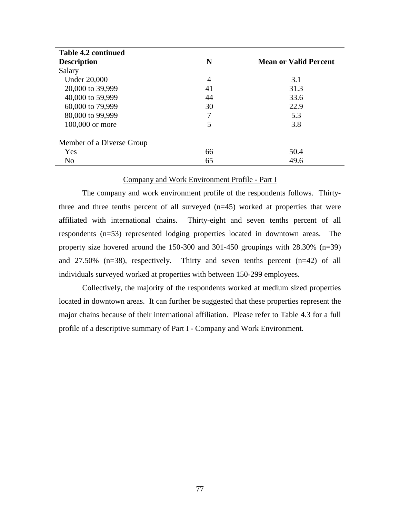| <b>Table 4.2 continued</b> |                |                              |
|----------------------------|----------------|------------------------------|
| <b>Description</b>         | N              | <b>Mean or Valid Percent</b> |
| Salary                     |                |                              |
| <b>Under 20,000</b>        | $\overline{4}$ | 3.1                          |
| 20,000 to 39,999           | 41             | 31.3                         |
| 40,000 to 59,999           | 44             | 33.6                         |
| 60,000 to 79,999           | 30             | 22.9                         |
| 80,000 to 99,999           | 7              | 5.3                          |
| 100,000 or more            | 5              | 3.8                          |
| Member of a Diverse Group  |                |                              |
| Yes                        | 66             | 50.4                         |
| N <sub>o</sub>             | 65             | 49.6                         |

# Company and Work Environment Profile - Part I

The company and work environment profile of the respondents follows. Thirtythree and three tenths percent of all surveyed (n=45) worked at properties that were affiliated with international chains. Thirty-eight and seven tenths percent of all respondents (n=53) represented lodging properties located in downtown areas. The property size hovered around the 150-300 and 301-450 groupings with 28.30% (n=39) and 27.50% (n=38), respectively. Thirty and seven tenths percent (n=42) of all individuals surveyed worked at properties with between 150-299 employees.

Collectively, the majority of the respondents worked at medium sized properties located in downtown areas. It can further be suggested that these properties represent the major chains because of their international affiliation. Please refer to Table 4.3 for a full profile of a descriptive summary of Part I - Company and Work Environment.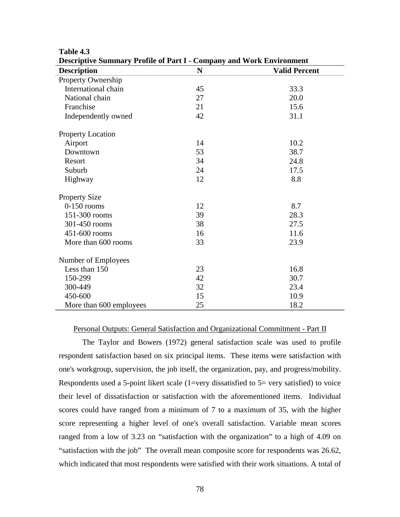| Descriptive Summary Frome of Fart F-Company and Work Environment |             |                      |
|------------------------------------------------------------------|-------------|----------------------|
| <b>Description</b>                                               | $\mathbf N$ | <b>Valid Percent</b> |
| Property Ownership                                               |             |                      |
| International chain                                              | 45          | 33.3                 |
| National chain                                                   | 27          | 20.0                 |
| Franchise                                                        | 21          | 15.6                 |
| Independently owned                                              | 42          | 31.1                 |
| <b>Property Location</b>                                         |             |                      |
| Airport                                                          | 14          | 10.2                 |
| Downtown                                                         | 53          | 38.7                 |
| Resort                                                           | 34          | 24.8                 |
| Suburb                                                           | 24          | 17.5                 |
| Highway                                                          | 12          | 8.8                  |
| <b>Property Size</b>                                             |             |                      |
| $0-150$ rooms                                                    | 12          | 8.7                  |
| 151-300 rooms                                                    | 39          | 28.3                 |
| 301-450 rooms                                                    | 38          | 27.5                 |
| 451-600 rooms                                                    | 16          | 11.6                 |
| More than 600 rooms                                              | 33          | 23.9                 |
| Number of Employees                                              |             |                      |
| Less than 150                                                    | 23          | 16.8                 |
| 150-299                                                          | 42          | 30.7                 |
| 300-449                                                          | 32          | 23.4                 |
| 450-600                                                          | 15          | 10.9                 |
| More than 600 employees                                          | 25          | 18.2                 |

## **Table 4.3 Descriptive Summary Profile of Part I - Company and Work Environment**

### Personal Outputs: General Satisfaction and Organizational Commitment - Part II

The Taylor and Bowers (1972) general satisfaction scale was used to profile respondent satisfaction based on six principal items. These items were satisfaction with one's workgroup, supervision, the job itself, the organization, pay, and progress/mobility. Respondents used a 5-point likert scale (1=very dissatisfied to  $5$ = very satisfied) to voice their level of dissatisfaction or satisfaction with the aforementioned items. Individual scores could have ranged from a minimum of 7 to a maximum of 35, with the higher score representing a higher level of one's overall satisfaction. Variable mean scores ranged from a low of 3.23 on "satisfaction with the organization" to a high of 4.09 on "satisfaction with the job" The overall mean composite score for respondents was 26.62, which indicated that most respondents were satisfied with their work situations. A total of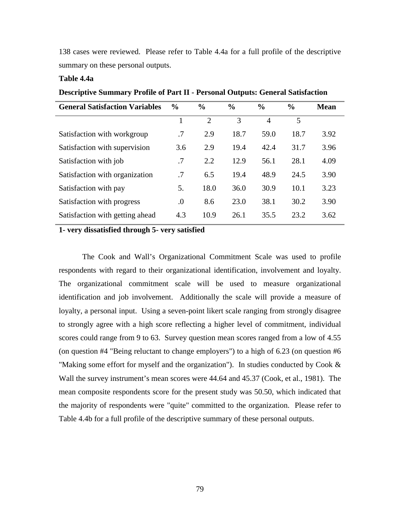138 cases were reviewed. Please refer to Table 4.4a for a full profile of the descriptive summary on these personal outputs.

# **Table 4.4a**

**Descriptive Summary Profile of Part II - Personal Outputs: General Satisfaction**

| <b>General Satisfaction Variables</b> | $\frac{0}{0}$ | $\frac{6}{9}$  | $\frac{6}{9}$ | $\frac{6}{9}$  | $\frac{0}{0}$ | Mean |
|---------------------------------------|---------------|----------------|---------------|----------------|---------------|------|
|                                       |               | $\overline{2}$ | 3             | $\overline{4}$ | 5             |      |
| Satisfaction with workgroup           | .7            | 2.9            | 18.7          | 59.0           | 18.7          | 3.92 |
| Satisfaction with supervision         | 3.6           | 2.9            | 19.4          | 42.4           | 31.7          | 3.96 |
| Satisfaction with job                 | .7            | 2.2            | 12.9          | 56.1           | 28.1          | 4.09 |
| Satisfaction with organization        | .7            | 6.5            | 19.4          | 48.9           | 24.5          | 3.90 |
| Satisfaction with pay                 | 5.            | 18.0           | 36.0          | 30.9           | 10.1          | 3.23 |
| Satisfaction with progress            | $\cdot$       | 8.6            | 23.0          | 38.1           | 30.2          | 3.90 |
| Satisfaction with getting ahead       | 4.3           | 10.9           | 26.1          | 35.5           | 23.2          | 3.62 |

# **1- very dissatisfied through 5- very satisfied**

The Cook and Wall's Organizational Commitment Scale was used to profile respondents with regard to their organizational identification, involvement and loyalty. The organizational commitment scale will be used to measure organizational identification and job involvement. Additionally the scale will provide a measure of loyalty, a personal input. Using a seven-point likert scale ranging from strongly disagree to strongly agree with a high score reflecting a higher level of commitment, individual scores could range from 9 to 63. Survey question mean scores ranged from a low of 4.55 (on question #4 "Being reluctant to change employers") to a high of 6.23 (on question #6 "Making some effort for myself and the organization"). In studies conducted by Cook & Wall the survey instrument's mean scores were 44.64 and 45.37 (Cook, et al., 1981). The mean composite respondents score for the present study was 50.50, which indicated that the majority of respondents were "quite" committed to the organization. Please refer to Table 4.4b for a full profile of the descriptive summary of these personal outputs.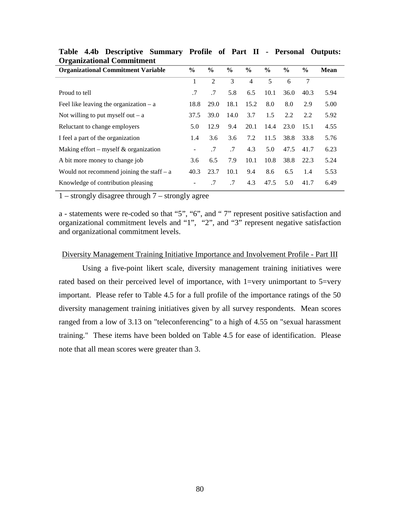| Ð<br><b>Organizational Commitment Variable</b> | $\frac{6}{9}$ | $\frac{6}{9}$  | $\frac{6}{9}$ | $\frac{6}{9}$  | $\frac{6}{9}$ | $\frac{6}{9}$ | $\frac{6}{9}$ | <b>Mean</b> |
|------------------------------------------------|---------------|----------------|---------------|----------------|---------------|---------------|---------------|-------------|
|                                                | 1             | $\overline{2}$ | 3             | $\overline{4}$ | 5             | 6             | 7             |             |
| Proud to tell                                  | .7            | .7             | 5.8           | 6.5            | 10.1          | 36.0          | 40.3          | 5.94        |
| Feel like leaving the organization $- a$       | 18.8          | 29.0           | 18.1          | 15.2           | 8.0           | 8.0           | 2.9           | 5.00        |
| Not willing to put myself out $- a$            | 37.5          | 39.0           | 14.0          | 3.7            | 1.5           | 2.2           | 2.2           | 5.92        |
| Reluctant to change employers                  | 5.0           | 12.9           | 9.4           | 20.1           | 14.4          | 23.0          | 15.1          | 4.55        |
| I feel a part of the organization              | 1.4           | 3.6            | 3.6           | 7.2            | 11.5          | 38.8          | 33.8          | 5.76        |
| Making effort – myself $\&$ organization       |               | .7             | .7            | 4.3            | 5.0           | 47.5          | 41.7          | 6.23        |
| A bit more money to change job                 | 3.6           | 6.5            | 7.9           | 10.1           | 10.8          | 38.8          | 22.3          | 5.24        |
| Would not recommend joining the staff $- a$    | 40.3          | 23.7           | 10.1          | 9.4            | 8.6           | 6.5           | 1.4           | 5.53        |
| Knowledge of contribution pleasing             |               | .7             | .7            | 4.3            | 47.5          | 5.0           | 41.7          | 6.49        |

**Table 4.4b Descriptive Summary Profile of Part II - Personal Outputs: Organizational Commitment**

1 – strongly disagree through 7 – strongly agree

a - statements were re-coded so that "5", "6", and " 7" represent positive satisfaction and organizational commitment levels and "1", "2", and "3" represent negative satisfaction and organizational commitment levels.

## Diversity Management Training Initiative Importance and Involvement Profile - Part III

Using a five-point likert scale, diversity management training initiatives were rated based on their perceived level of importance, with 1=very unimportant to 5=very important. Please refer to Table 4.5 for a full profile of the importance ratings of the 50 diversity management training initiatives given by all survey respondents. Mean scores ranged from a low of 3.13 on "teleconferencing" to a high of 4.55 on "sexual harassment training." These items have been bolded on Table 4.5 for ease of identification. Please note that all mean scores were greater than 3.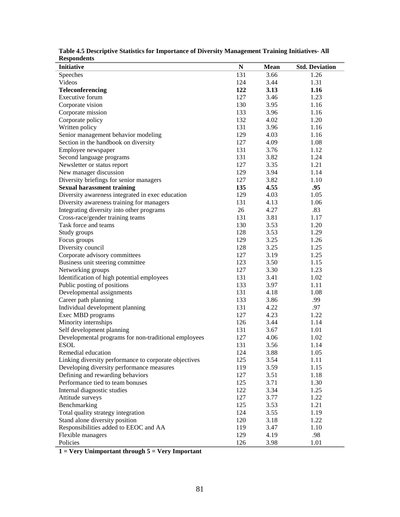| лезропиениз                                           |     |      |                       |
|-------------------------------------------------------|-----|------|-----------------------|
| <b>Initiative</b>                                     | N   | Mean | <b>Std. Deviation</b> |
| Speeches                                              | 131 | 3.66 | 1.26                  |
| Videos                                                | 124 | 3.44 | 1.31                  |
| Teleconferencing                                      | 122 | 3.13 | 1.16                  |
| Executive forum                                       | 127 | 3.46 | 1.23                  |
| Corporate vision                                      | 130 | 3.95 | 1.16                  |
| Corporate mission                                     | 133 | 3.96 | 1.16                  |
| Corporate policy                                      | 132 | 4.02 | 1.20                  |
| Written policy                                        | 131 | 3.96 | 1.16                  |
| Senior management behavior modeling                   | 129 | 4.03 | 1.16                  |
| Section in the handbook on diversity                  | 127 | 4.09 | 1.08                  |
| Employee newspaper                                    | 131 | 3.76 | 1.12                  |
| Second language programs                              | 131 | 3.82 | 1.24                  |
| Newsletter or status report                           | 127 | 3.35 | 1.21                  |
| New manager discussion                                | 129 | 3.94 | 1.14                  |
| Diversity briefings for senior managers               | 127 | 3.82 | 1.10                  |
| <b>Sexual harassment training</b>                     | 135 | 4.55 | .95                   |
| Diversity awareness integrated in exec education      | 129 | 4.03 | 1.05                  |
| Diversity awareness training for managers             | 131 | 4.13 | 1.06                  |
| Integrating diversity into other programs             | 26  | 4.27 | .83                   |
| Cross-race/gender training teams                      | 131 | 3.81 | 1.17                  |
| Task force and teams                                  | 130 | 3.53 | 1.20                  |
| Study groups                                          | 128 | 3.53 | 1.29                  |
| Focus groups                                          | 129 | 3.25 | 1.26                  |
| Diversity council                                     | 128 | 3.25 | 1.25                  |
| Corporate advisory committees                         | 127 | 3.19 | 1.25                  |
| Business unit steering committee                      | 123 | 3.50 | 1.15                  |
| Networking groups                                     | 127 | 3.30 | 1.23                  |
| Identification of high potential employees            | 131 | 3.41 | 1.02                  |
| Public posting of positions                           | 133 | 3.97 | 1.11                  |
| Developmental assignments                             | 131 | 4.18 | 1.08                  |
| Career path planning                                  | 133 | 3.86 | .99                   |
| Individual development planning                       | 131 | 4.22 | .97                   |
| Exec MBD programs                                     | 127 | 4.23 | 1.22                  |
| Minority internships                                  | 126 | 3.44 | 1.14                  |
| Self development planning                             | 131 | 3.67 | 1.01                  |
| Developmental programs for non-traditional employees  | 127 | 4.06 | 1.02                  |
| <b>ESOL</b>                                           | 131 | 3.56 | 1.14                  |
| Remedial education                                    | 124 | 3.88 | 1.05                  |
| Linking diversity performance to corporate objectives | 125 | 3.54 | 1.11                  |
| Developing diversity performance measures             | 119 | 3.59 | 1.15                  |
| Defining and rewarding behaviors                      | 127 | 3.51 | 1.18                  |
| Performance tied to team bonuses                      | 125 | 3.71 | 1.30                  |
| Internal diagnostic studies                           | 122 | 3.34 | 1.25                  |
| Attitude surveys                                      | 127 | 3.77 | 1.22                  |
| Benchmarking                                          | 125 | 3.53 | 1.21                  |
| Total quality strategy integration                    | 124 | 3.55 | 1.19                  |
| Stand alone diversity position                        | 120 | 3.18 | 1.22                  |
|                                                       | 119 | 3.47 | 1.10                  |
| Responsibilities added to EEOC and AA                 | 129 | 4.19 | .98                   |
| Flexible managers                                     |     |      |                       |
| Policies                                              | 126 | 3.98 | 1.01                  |

**Table 4.5 Descriptive Statistics for Importance of Diversity Management Training Initiatives- All Respondents**

**1 = Very Unimportant through 5 = Very Important**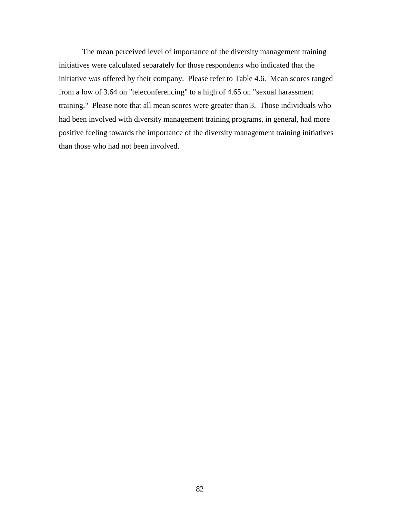The mean perceived level of importance of the diversity management training initiatives were calculated separately for those respondents who indicated that the initiative was offered by their company. Please refer to Table 4.6. Mean scores ranged from a low of 3.64 on "teleconferencing" to a high of 4.65 on "sexual harassment training." Please note that all mean scores were greater than 3. Those individuals who had been involved with diversity management training programs, in general, had more positive feeling towards the importance of the diversity management training initiatives than those who had not been involved.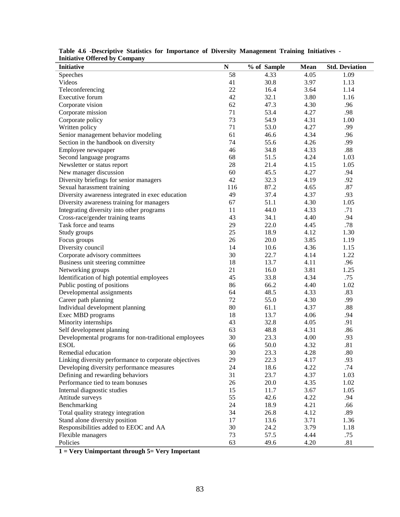| <b>Initiative</b>                                     | $\mathbf N$ | % of Sample | <b>Mean</b> | <b>Std. Deviation</b> |
|-------------------------------------------------------|-------------|-------------|-------------|-----------------------|
| Speeches                                              | 58          | 4.33        | 4.05        | 1.09                  |
| Videos                                                | 41          | 30.8        | 3.97        | 1.13                  |
| Teleconferencing                                      | 22          | 16.4        | 3.64        | 1.14                  |
| Executive forum                                       | 42          | 32.1        | 3.80        | 1.16                  |
| Corporate vision                                      | 62          | 47.3        | 4.30        | .96                   |
| Corporate mission                                     | 71          | 53.4        | 4.27        | .98                   |
| Corporate policy                                      | 73          | 54.9        | 4.31        | 1.00                  |
| Written policy                                        | 71          | 53.0        | 4.27        | .99                   |
| Senior management behavior modeling                   | 61          | 46.6        | 4.34        | .96                   |
| Section in the handbook on diversity                  | 74          | 55.6        | 4.26        | .99                   |
| Employee newspaper                                    | 46          | 34.8        | 4.33        | .88                   |
| Second language programs                              | 68          | 51.5        | 4.24        | 1.03                  |
| Newsletter or status report                           | 28          | 21.4        | 4.15        | 1.05                  |
| New manager discussion                                | 60          | 45.5        | 4.27        | .94                   |
| Diversity briefings for senior managers               | 42          | 32.3        | 4.19        | .92                   |
| Sexual harassment training                            | 116         | 87.2        | 4.65        | .87                   |
| Diversity awareness integrated in exec education      | 49          | 37.4        | 4.37        | .93                   |
| Diversity awareness training for managers             | 67          | 51.1        | 4.30        | 1.05                  |
| Integrating diversity into other programs             | 11          | 44.0        | 4.33        | .71                   |
| Cross-race/gender training teams                      | 43          | 34.1        | 4.40        | .94                   |
| Task force and teams                                  | 29          | 22.0        | 4.45        | .78                   |
| Study groups                                          | 25          | 18.9        | 4.12        | 1.30                  |
| Focus groups                                          | 26          | 20.0        | 3.85        | 1.19                  |
| Diversity council                                     | 14          | 10.6        | 4.36        | 1.15                  |
| Corporate advisory committees                         | 30          | 22.7        | 4.14        | 1.22                  |
| Business unit steering committee                      | 18          | 13.7        | 4.11        | .96                   |
| Networking groups                                     | 21          | 16.0        | 3.81        | 1.25                  |
| Identification of high potential employees            | 45          | 33.8        | 4.34        | .75                   |
| Public posting of positions                           | 86          | 66.2        | 4.40        | 1.02                  |
| Developmental assignments                             | 64          | 48.5        | 4.33        | .83                   |
| Career path planning                                  | 72          | 55.0        | 4.30        | .99                   |
| Individual development planning                       | 80          | 61.1        | 4.37        | .88                   |
| Exec MBD programs                                     | 18          | 13.7        | 4.06        | .94                   |
| Minority internships                                  | 43          | 32.8        | 4.05        | .91                   |
| Self development planning                             | 63          | 48.8        | 4.31        | .86                   |
| Developmental programs for non-traditional employees  | 30          | 23.3        | 4.00        | .93                   |
| <b>ESOL</b>                                           | 66          | 50.0        | 4.32        | .81                   |
| Remedial education                                    | 30          | 23.3        | 4.28        | .80                   |
| Linking diversity performance to corporate objectives | 29          | 22.3        | 4.17        | .93                   |
| Developing diversity performance measures             | 24          | 18.6        | 4.22        | .74                   |
| Defining and rewarding behaviors                      | 31          | 23.7        | 4.37        | 1.03                  |
| Performance tied to team bonuses                      | 26          | 20.0        | 4.35        | 1.02                  |
| Internal diagnostic studies                           | 15          | 11.7        | 3.67        | 1.05                  |
| Attitude surveys                                      | 55          | 42.6        | 4.22        | .94                   |
| Benchmarking                                          | 24          | 18.9        | 4.21        | .66                   |
| Total quality strategy integration                    | 34          | 26.8        | 4.12        | .89                   |
| Stand alone diversity position                        | 17          | 13.6        | 3.71        | 1.36                  |
| Responsibilities added to EEOC and AA                 | 30          | 24.2        | 3.79        | 1.18                  |
| Flexible managers                                     | 73          | 57.5        | 4.44        | .75                   |
| Policies                                              | 63          | 49.6        | 4.20        | .81                   |

**Table 4.6 -Descriptive Statistics for Importance of Diversity Management Training Initiatives - Initiative Offered by Company**

**1 = Very Unimportant through 5= Very Important**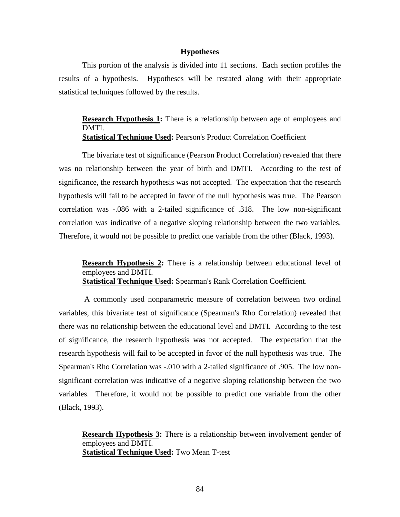### **Hypotheses**

This portion of the analysis is divided into 11 sections. Each section profiles the results of a hypothesis. Hypotheses will be restated along with their appropriate statistical techniques followed by the results.

**Research Hypothesis 1:** There is a relationship between age of employees and DMTI. **Statistical Technique Used:** Pearson's Product Correlation Coefficient

The bivariate test of significance (Pearson Product Correlation) revealed that there was no relationship between the year of birth and DMTI. According to the test of significance, the research hypothesis was not accepted. The expectation that the research hypothesis will fail to be accepted in favor of the null hypothesis was true. The Pearson correlation was -.086 with a 2-tailed significance of .318. The low non-significant correlation was indicative of a negative sloping relationship between the two variables. Therefore, it would not be possible to predict one variable from the other (Black, 1993).

**Research Hypothesis 2:** There is a relationship between educational level of employees and DMTI. **Statistical Technique Used:** Spearman's Rank Correlation Coefficient.

 A commonly used nonparametric measure of correlation between two ordinal variables, this bivariate test of significance (Spearman's Rho Correlation) revealed that there was no relationship between the educational level and DMTI. According to the test of significance, the research hypothesis was not accepted. The expectation that the research hypothesis will fail to be accepted in favor of the null hypothesis was true. The Spearman's Rho Correlation was -.010 with a 2-tailed significance of .905. The low nonsignificant correlation was indicative of a negative sloping relationship between the two variables. Therefore, it would not be possible to predict one variable from the other (Black, 1993).

**Research Hypothesis 3:** There is a relationship between involvement gender of employees and DMTI. **Statistical Technique Used:** Two Mean T-test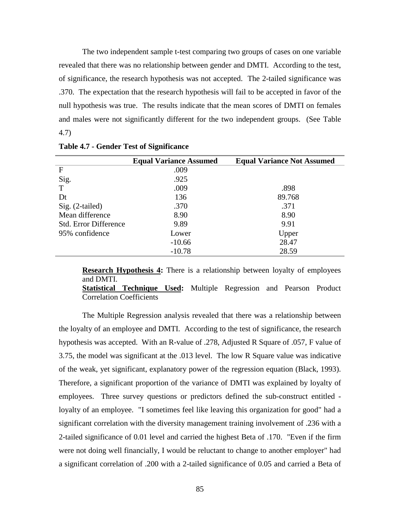The two independent sample t-test comparing two groups of cases on one variable revealed that there was no relationship between gender and DMTI. According to the test, of significance, the research hypothesis was not accepted. The 2-tailed significance was .370. The expectation that the research hypothesis will fail to be accepted in favor of the null hypothesis was true. The results indicate that the mean scores of DMTI on females and males were not significantly different for the two independent groups. (See Table 4.7)

|                              | <b>Equal Variance Assumed</b> | <b>Equal Variance Not Assumed</b> |
|------------------------------|-------------------------------|-----------------------------------|
| F                            | .009                          |                                   |
| Sig.                         | .925                          |                                   |
| T                            | .009                          | .898                              |
| Dt                           | 136                           | 89.768                            |
| Sig. (2-tailed)              | .370                          | .371                              |
| Mean difference              | 8.90                          | 8.90                              |
| <b>Std. Error Difference</b> | 9.89                          | 9.91                              |
| 95% confidence               | Lower                         | Upper                             |
|                              | $-10.66$                      | 28.47                             |
|                              | $-10.78$                      | 28.59                             |

**Table 4.7 - Gender Test of Significance**

**Research Hypothesis 4:** There is a relationship between loyalty of employees and DMTI.

**Statistical Technique Used:** Multiple Regression and Pearson Product Correlation Coefficients

The Multiple Regression analysis revealed that there was a relationship between the loyalty of an employee and DMTI. According to the test of significance, the research hypothesis was accepted. With an R-value of .278, Adjusted R Square of .057, F value of 3.75, the model was significant at the .013 level. The low R Square value was indicative of the weak, yet significant, explanatory power of the regression equation (Black, 1993). Therefore, a significant proportion of the variance of DMTI was explained by loyalty of employees. Three survey questions or predictors defined the sub-construct entitled loyalty of an employee. "I sometimes feel like leaving this organization for good" had a significant correlation with the diversity management training involvement of .236 with a 2-tailed significance of 0.01 level and carried the highest Beta of .170. "Even if the firm were not doing well financially, I would be reluctant to change to another employer" had a significant correlation of .200 with a 2-tailed significance of 0.05 and carried a Beta of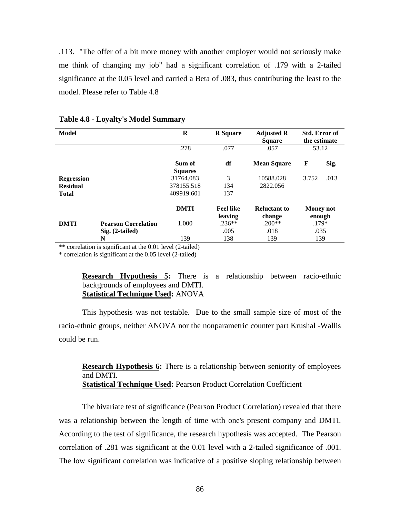.113. "The offer of a bit more money with another employer would not seriously make me think of changing my job" had a significant correlation of .179 with a 2-tailed significance at the 0.05 level and carried a Beta of .083, thus contributing the least to the model. Please refer to Table 4.8

| Model                                                |                                                 | R                                     | <b>R</b> Square             | <b>Adjusted R</b><br><b>Square</b> | <b>Std. Error of</b><br>the estimate |      |
|------------------------------------------------------|-------------------------------------------------|---------------------------------------|-----------------------------|------------------------------------|--------------------------------------|------|
|                                                      |                                                 | .278                                  | .077                        | .057                               | 53.12                                |      |
|                                                      |                                                 | Sum of<br><b>Squares</b>              | df                          | <b>Mean Square</b>                 | F                                    | Sig. |
| <b>Regression</b><br><b>Residual</b><br><b>Total</b> |                                                 | 31764.083<br>378155.518<br>409919.601 | 3<br>134<br>137             | 10588.028<br>2822.056              | 3.752                                | .013 |
|                                                      |                                                 | <b>DMTI</b>                           | <b>Feel like</b>            | <b>Reluctant to</b>                | <b>Money not</b>                     |      |
| <b>DMTI</b>                                          | <b>Pearson Correlation</b><br>$Sig. (2-tailed)$ | 1.000                                 | leaving<br>$.236**$<br>.005 | change<br>$.200**$<br>.018         | enough<br>$.179*$<br>.035            |      |
|                                                      | N                                               | 139                                   | 138                         | 139                                | 139                                  |      |

### **Table 4.8 - Loyalty's Model Summary**

\*\* correlation is significant at the 0.01 level (2-tailed)

\* correlation is significant at the 0.05 level (2-tailed)

**Research Hypothesis 5:** There is a relationship between racio-ethnic backgrounds of employees and DMTI. **Statistical Technique Used:** ANOVA

This hypothesis was not testable. Due to the small sample size of most of the racio-ethnic groups, neither ANOVA nor the nonparametric counter part Krushal -Wallis could be run.

**Research Hypothesis 6:** There is a relationship between seniority of employees and DMTI. **Statistical Technique Used:** Pearson Product Correlation Coefficient

The bivariate test of significance (Pearson Product Correlation) revealed that there was a relationship between the length of time with one's present company and DMTI. According to the test of significance, the research hypothesis was accepted. The Pearson correlation of .281 was significant at the 0.01 level with a 2-tailed significance of .001. The low significant correlation was indicative of a positive sloping relationship between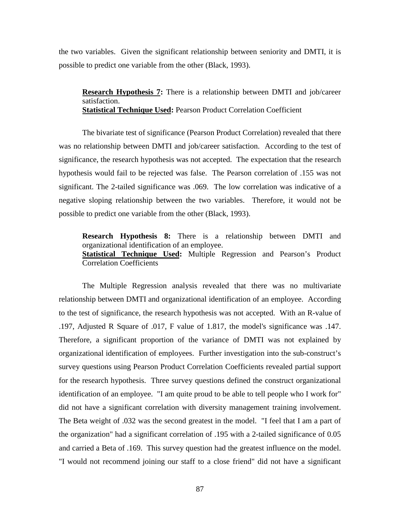the two variables. Given the significant relationship between seniority and DMTI, it is possible to predict one variable from the other (Black, 1993).

**Research Hypothesis 7:** There is a relationship between DMTI and job/career satisfaction. **Statistical Technique Used:** Pearson Product Correlation Coefficient

The bivariate test of significance (Pearson Product Correlation) revealed that there was no relationship between DMTI and job/career satisfaction. According to the test of significance, the research hypothesis was not accepted. The expectation that the research hypothesis would fail to be rejected was false. The Pearson correlation of .155 was not significant. The 2-tailed significance was .069. The low correlation was indicative of a negative sloping relationship between the two variables. Therefore, it would not be possible to predict one variable from the other (Black, 1993).

**Research Hypothesis 8:** There is a relationship between DMTI and organizational identification of an employee. **Statistical Technique Used:** Multiple Regression and Pearson's Product Correlation Coefficients

The Multiple Regression analysis revealed that there was no multivariate relationship between DMTI and organizational identification of an employee. According to the test of significance, the research hypothesis was not accepted. With an R-value of .197, Adjusted R Square of .017, F value of 1.817, the model's significance was .147. Therefore, a significant proportion of the variance of DMTI was not explained by organizational identification of employees. Further investigation into the sub-construct's survey questions using Pearson Product Correlation Coefficients revealed partial support for the research hypothesis. Three survey questions defined the construct organizational identification of an employee. "I am quite proud to be able to tell people who I work for" did not have a significant correlation with diversity management training involvement. The Beta weight of .032 was the second greatest in the model. "I feel that I am a part of the organization" had a significant correlation of .195 with a 2-tailed significance of 0.05 and carried a Beta of .169. This survey question had the greatest influence on the model. "I would not recommend joining our staff to a close friend" did not have a significant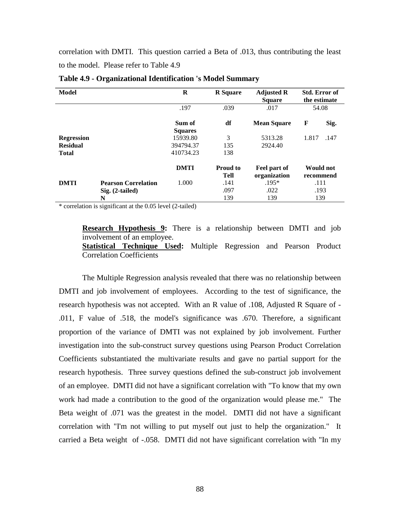correlation with DMTI. This question carried a Beta of .013, thus contributing the least to the model. Please refer to Table 4.9

| Model             |                            | R                        | <b>R</b> Square         | <b>Adjusted R</b><br><b>Square</b> | <b>Std. Error of</b><br>the estimate |
|-------------------|----------------------------|--------------------------|-------------------------|------------------------------------|--------------------------------------|
|                   |                            | .197                     | .039                    | .017                               | 54.08                                |
|                   |                            | Sum of<br><b>Squares</b> | df                      | <b>Mean Square</b>                 | F<br>Sig.                            |
| <b>Regression</b> |                            | 15939.80                 | 3                       | 5313.28                            | 1.817<br>.147                        |
| <b>Residual</b>   |                            | 394794.37                | 135                     | 2924.40                            |                                      |
| <b>Total</b>      |                            | 410734.23                | 138                     |                                    |                                      |
|                   |                            | <b>DMTI</b>              | <b>Proud to</b><br>Tell | Feel part of<br>organization       | <b>Would not</b><br>recommend        |
| <b>DMTI</b>       | <b>Pearson Correlation</b> | 1.000                    | .141                    | $.195*$                            | .111                                 |
|                   | $Sig. (2-tailed)$          |                          | .097                    | .022                               | .193                                 |
|                   | N                          |                          | 139                     | 139                                | 139                                  |

**Table 4.9 - Organizational Identification 's Model Summary**

\* correlation is significant at the 0.05 level (2-tailed)

**Research Hypothesis 9:** There is a relationship between DMTI and job involvement of an employee.

**Statistical Technique Used:** Multiple Regression and Pearson Product Correlation Coefficients

The Multiple Regression analysis revealed that there was no relationship between DMTI and job involvement of employees. According to the test of significance, the research hypothesis was not accepted. With an R value of .108, Adjusted R Square of - .011, F value of .518, the model's significance was .670. Therefore, a significant proportion of the variance of DMTI was not explained by job involvement. Further investigation into the sub-construct survey questions using Pearson Product Correlation Coefficients substantiated the multivariate results and gave no partial support for the research hypothesis. Three survey questions defined the sub-construct job involvement of an employee. DMTI did not have a significant correlation with "To know that my own work had made a contribution to the good of the organization would please me." The Beta weight of .071 was the greatest in the model. DMTI did not have a significant correlation with "I'm not willing to put myself out just to help the organization." It carried a Beta weight of -.058. DMTI did not have significant correlation with "In my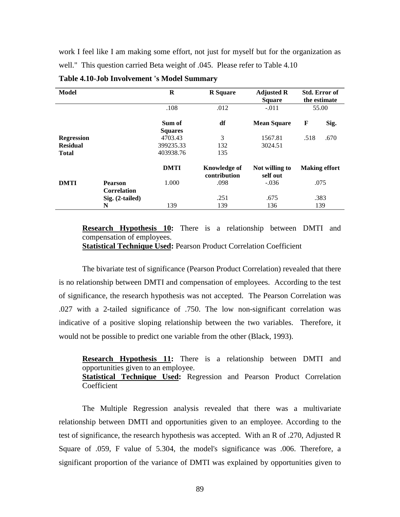work I feel like I am making some effort, not just for myself but for the organization as well." This question carried Beta weight of .045. Please refer to Table 4.10

| <b>Model</b>      |                    | $\bf{R}$       | <b>R</b> Square                     | <b>Adjusted R</b><br><b>Square</b> | Std. Error of<br>the estimate |
|-------------------|--------------------|----------------|-------------------------------------|------------------------------------|-------------------------------|
|                   |                    | .108           | .012                                | $-.011$                            | 55.00                         |
|                   |                    | Sum of         | df                                  | <b>Mean Square</b>                 | F<br>Sig.                     |
|                   |                    | <b>Squares</b> |                                     |                                    |                               |
| <b>Regression</b> |                    | 4703.43        | 3                                   | 1567.81                            | .670<br>.518                  |
| <b>Residual</b>   |                    | 399235.33      | 132                                 | 3024.51                            |                               |
| <b>Total</b>      |                    | 403938.76      | 135                                 |                                    |                               |
|                   |                    | <b>DMTI</b>    | <b>Knowledge of</b><br>contribution | Not willing to<br>self out         | <b>Making effort</b>          |
| <b>DMTI</b>       | <b>Pearson</b>     | 1.000          | .098                                | $-.036$                            | .075                          |
|                   | <b>Correlation</b> |                |                                     |                                    |                               |
|                   | $Sig. (2-tailed)$  |                | .251                                | .675                               | .383                          |
|                   | N                  | 139            | 139                                 | 136                                | 139                           |

**Table 4.10-Job Involvement 's Model Summary**

**Research Hypothesis 10:** There is a relationship between DMTI and compensation of employees. **Statistical Technique Used:** Pearson Product Correlation Coefficient

The bivariate test of significance (Pearson Product Correlation) revealed that there is no relationship between DMTI and compensation of employees. According to the test of significance, the research hypothesis was not accepted. The Pearson Correlation was .027 with a 2-tailed significance of .750. The low non-significant correlation was indicative of a positive sloping relationship between the two variables. Therefore, it would not be possible to predict one variable from the other (Black, 1993).

**Research Hypothesis 11:** There is a relationship between DMTI and opportunities given to an employee. **Statistical Technique Used:** Regression and Pearson Product Correlation Coefficient

The Multiple Regression analysis revealed that there was a multivariate relationship between DMTI and opportunities given to an employee. According to the test of significance, the research hypothesis was accepted. With an R of .270, Adjusted R Square of .059, F value of 5.304, the model's significance was .006. Therefore, a significant proportion of the variance of DMTI was explained by opportunities given to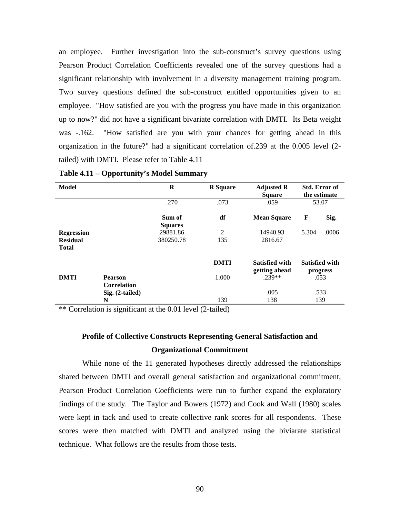an employee. Further investigation into the sub-construct's survey questions using Pearson Product Correlation Coefficients revealed one of the survey questions had a significant relationship with involvement in a diversity management training program. Two survey questions defined the sub-construct entitled opportunities given to an employee. "How satisfied are you with the progress you have made in this organization up to now?" did not have a significant bivariate correlation with DMTI. Its Beta weight was -.162. "How satisfied are you with your chances for getting ahead in this organization in the future?" had a significant correlation of.239 at the 0.005 level (2 tailed) with DMTI. Please refer to Table 4.11

| <b>Model</b>      |                                      | $\bf{R}$                 | <b>R</b> Square | <b>Adjusted R</b><br><b>Square</b>     | Std. Error of<br>the estimate     |
|-------------------|--------------------------------------|--------------------------|-----------------|----------------------------------------|-----------------------------------|
|                   |                                      | .270                     | .073            | .059                                   | 53.07                             |
|                   |                                      | Sum of<br><b>Squares</b> | df              | <b>Mean Square</b>                     | F<br>Sig.                         |
| <b>Regression</b> |                                      | 29881.86                 | 2               | 14940.93                               | 5.304<br>.0006                    |
| <b>Residual</b>   |                                      | 380250.78                | 135             | 2816.67                                |                                   |
| <b>Total</b>      |                                      |                          |                 |                                        |                                   |
|                   |                                      |                          | <b>DMTI</b>     | <b>Satisfied with</b><br>getting ahead | <b>Satisfied with</b><br>progress |
| <b>DMTI</b>       | <b>Pearson</b><br><b>Correlation</b> |                          | 1.000           | $.239**$                               | .053                              |
|                   | Sig. (2-tailed)                      |                          |                 | .005                                   | .533                              |
|                   | N                                    |                          | 139             | 138                                    | 139                               |

**Table 4.11 – Opportunity's Model Summary**

\*\* Correlation is significant at the 0.01 level (2-tailed)

# **Profile of Collective Constructs Representing General Satisfaction and Organizational Commitment**

While none of the 11 generated hypotheses directly addressed the relationships shared between DMTI and overall general satisfaction and organizational commitment, Pearson Product Correlation Coefficients were run to further expand the exploratory findings of the study. The Taylor and Bowers (1972) and Cook and Wall (1980) scales were kept in tack and used to create collective rank scores for all respondents. These scores were then matched with DMTI and analyzed using the biviarate statistical technique. What follows are the results from those tests.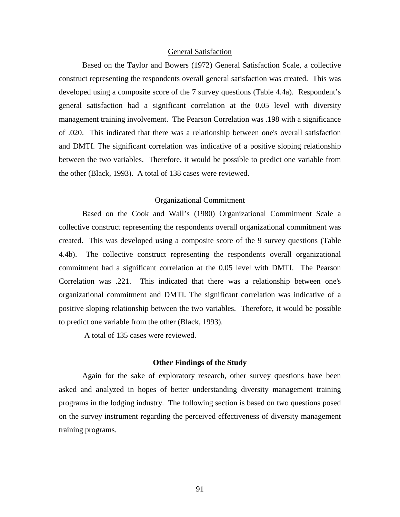### General Satisfaction

Based on the Taylor and Bowers (1972) General Satisfaction Scale, a collective construct representing the respondents overall general satisfaction was created. This was developed using a composite score of the 7 survey questions (Table 4.4a). Respondent's general satisfaction had a significant correlation at the 0.05 level with diversity management training involvement. The Pearson Correlation was .198 with a significance of .020. This indicated that there was a relationship between one's overall satisfaction and DMTI. The significant correlation was indicative of a positive sloping relationship between the two variables. Therefore, it would be possible to predict one variable from the other (Black, 1993). A total of 138 cases were reviewed.

### Organizational Commitment

Based on the Cook and Wall's (1980) Organizational Commitment Scale a collective construct representing the respondents overall organizational commitment was created. This was developed using a composite score of the 9 survey questions (Table 4.4b). The collective construct representing the respondents overall organizational commitment had a significant correlation at the 0.05 level with DMTI. The Pearson Correlation was .221. This indicated that there was a relationship between one's organizational commitment and DMTI. The significant correlation was indicative of a positive sloping relationship between the two variables. Therefore, it would be possible to predict one variable from the other (Black, 1993).

A total of 135 cases were reviewed.

# **Other Findings of the Study**

Again for the sake of exploratory research, other survey questions have been asked and analyzed in hopes of better understanding diversity management training programs in the lodging industry. The following section is based on two questions posed on the survey instrument regarding the perceived effectiveness of diversity management training programs.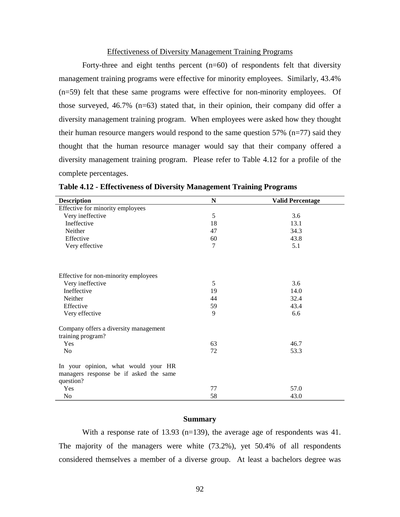### Effectiveness of Diversity Management Training Programs

Forty-three and eight tenths percent  $(n=60)$  of respondents felt that diversity management training programs were effective for minority employees. Similarly, 43.4% (n=59) felt that these same programs were effective for non-minority employees. Of those surveyed, 46.7% (n=63) stated that, in their opinion, their company did offer a diversity management training program. When employees were asked how they thought their human resource mangers would respond to the same question  $57\%$  (n=77) said they thought that the human resource manager would say that their company offered a diversity management training program. Please refer to Table 4.12 for a profile of the complete percentages.

| <b>Description</b>                     | N  | <b>Valid Percentage</b> |  |  |  |
|----------------------------------------|----|-------------------------|--|--|--|
| Effective for minority employees       |    |                         |  |  |  |
| Very ineffective                       | 5  | 3.6                     |  |  |  |
| Ineffective                            | 18 | 13.1                    |  |  |  |
| Neither                                | 47 | 34.3                    |  |  |  |
| Effective                              | 60 | 43.8                    |  |  |  |
| Very effective                         | 7  | 5.1                     |  |  |  |
|                                        |    |                         |  |  |  |
| Effective for non-minority employees   |    |                         |  |  |  |
| Very ineffective                       | 5  | 3.6                     |  |  |  |
| Ineffective                            | 19 | 14.0                    |  |  |  |
| Neither                                | 44 | 32.4                    |  |  |  |
| Effective                              | 59 | 43.4                    |  |  |  |
| Very effective                         | 9  | 6.6                     |  |  |  |
| Company offers a diversity management  |    |                         |  |  |  |
| training program?                      |    |                         |  |  |  |
| Yes                                    | 63 | 46.7                    |  |  |  |
| N <sub>0</sub>                         | 72 | 53.3                    |  |  |  |
| In your opinion, what would your HR    |    |                         |  |  |  |
| managers response be if asked the same |    |                         |  |  |  |
| question?                              |    |                         |  |  |  |
| Yes                                    | 77 | 57.0                    |  |  |  |
| No                                     | 58 | 43.0                    |  |  |  |

**Table 4.12 - Effectiveness of Diversity Management Training Programs**

# **Summary**

With a response rate of 13.93 (n=139), the average age of respondents was 41. The majority of the managers were white (73.2%), yet 50.4% of all respondents considered themselves a member of a diverse group. At least a bachelors degree was